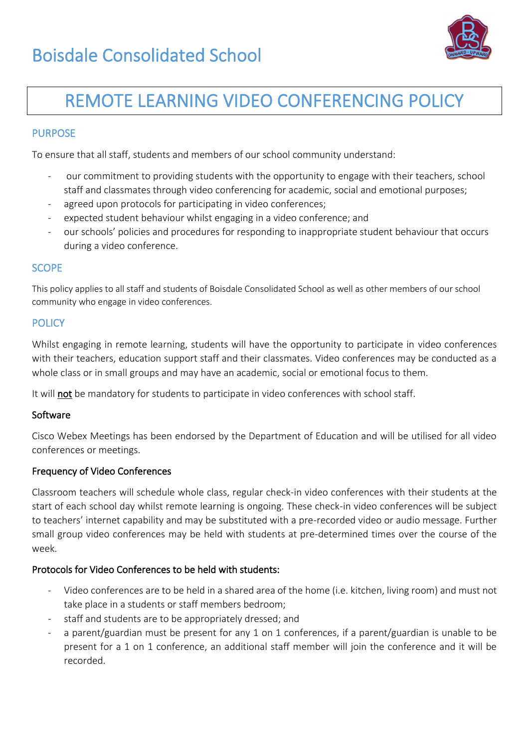

# REMOTE LEARNING VIDEO CONFERENCING POLICY

## **PURPOSE**

To ensure that all staff, students and members of our school community understand:

- our commitment to providing students with the opportunity to engage with their teachers, school staff and classmates through video conferencing for academic, social and emotional purposes;
- agreed upon protocols for participating in video conferences;
- expected student behaviour whilst engaging in a video conference; and
- our schools' policies and procedures for responding to inappropriate student behaviour that occurs during a video conference.

#### **SCOPE**

This policy applies to all staff and students of Boisdale Consolidated School as well as other members of our school community who engage in video conferences.

#### **POLICY**

Whilst engaging in remote learning, students will have the opportunity to participate in video conferences with their teachers, education support staff and their classmates. Video conferences may be conducted as a whole class or in small groups and may have an academic, social or emotional focus to them.

It will not be mandatory for students to participate in video conferences with school staff.

#### Software

Cisco Webex Meetings has been endorsed by the Department of Education and will be utilised for all video conferences or meetings.

#### Frequency of Video Conferences

Classroom teachers will schedule whole class, regular check-in video conferences with their students at the start of each school day whilst remote learning is ongoing. These check-in video conferences will be subject to teachers' internet capability and may be substituted with a pre-recorded video or audio message. Further small group video conferences may be held with students at pre-determined times over the course of the week.

### Protocols for Video Conferences to be held with students:

- Video conferences are to be held in a shared area of the home (i.e. kitchen, living room) and must not take place in a students or staff members bedroom;
- staff and students are to be appropriately dressed; and
- a parent/guardian must be present for any 1 on 1 conferences, if a parent/guardian is unable to be present for a 1 on 1 conference, an additional staff member will join the conference and it will be recorded.